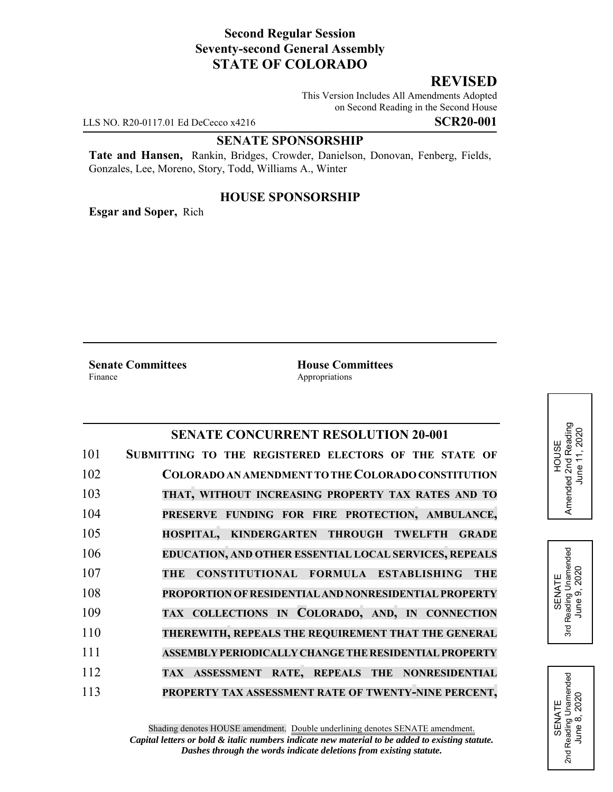## **Second Regular Session Seventy-second General Assembly STATE OF COLORADO**

# **REVISED**

This Version Includes All Amendments Adopted on Second Reading in the Second House

LLS NO. R20-0117.01 Ed DeCecco x4216 **SCR20-001**

#### **SENATE SPONSORSHIP**

**Tate and Hansen,** Rankin, Bridges, Crowder, Danielson, Donovan, Fenberg, Fields, Gonzales, Lee, Moreno, Story, Todd, Williams A., Winter

### **HOUSE SPONSORSHIP**

**Esgar and Soper,** Rich

**Senate Committees**<br>Finance **House Committees**<br>Appropriations

Appropriations

## **SENATE CONCURRENT RESOLUTION 20-001**

| 101 | SUBMITTING TO THE REGISTERED ELECTORS OF THE STATE OF    |
|-----|----------------------------------------------------------|
| 102 | COLORADO AN AMENDMENT TO THE COLORADO CONSTITUTION       |
| 103 | THAT, WITHOUT INCREASING PROPERTY TAX RATES AND TO       |
| 104 | PRESERVE FUNDING FOR FIRE PROTECTION, AMBULANCE,         |
| 105 | HOSPITAL, KINDERGARTEN THROUGH TWELFTH<br><b>GRADE</b>   |
| 106 | EDUCATION, AND OTHER ESSENTIAL LOCAL SERVICES, REPEALS   |
| 107 | CONSTITUTIONAL FORMULA ESTABLISHING<br><b>THE</b><br>THE |
| 108 | PROPORTION OF RESIDENTIAL AND NONRESIDENTIAL PROPERTY    |
| 109 | TAX COLLECTIONS IN COLORADO, AND, IN CONNECTION          |
| 110 | THEREWITH, REPEALS THE REQUIREMENT THAT THE GENERAL      |
| 111 | ASSEMBLY PERIODICALLY CHANGE THE RESIDENTIAL PROPERTY    |
| 112 | TAX ASSESSMENT RATE, REPEALS THE NONRESIDENTIAL          |
| 113 | PROPERTY TAX ASSESSMENT RATE OF TWENTY-NINE PERCENT,     |



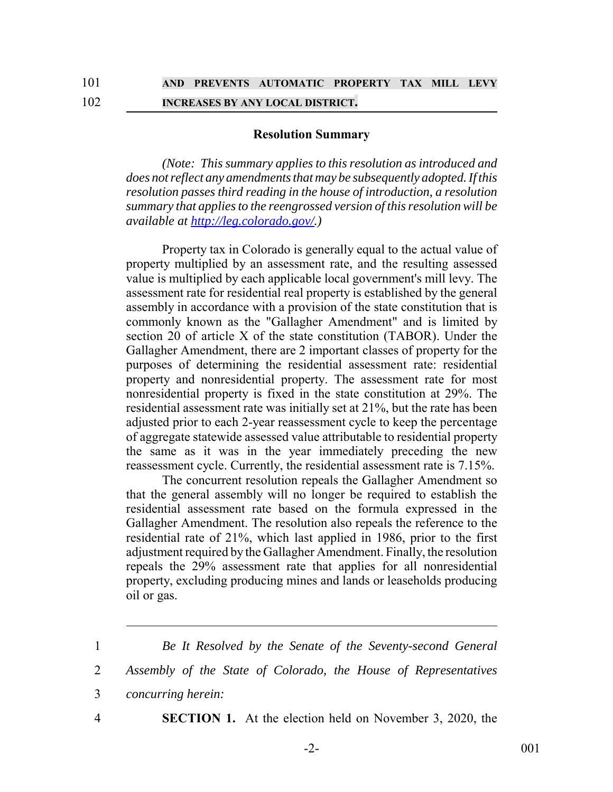#### **Resolution Summary**

*(Note: This summary applies to this resolution as introduced and does not reflect any amendments that may be subsequently adopted. If this resolution passes third reading in the house of introduction, a resolution summary that applies to the reengrossed version of this resolution will be available at http://leg.colorado.gov/.)*

Property tax in Colorado is generally equal to the actual value of property multiplied by an assessment rate, and the resulting assessed value is multiplied by each applicable local government's mill levy. The assessment rate for residential real property is established by the general assembly in accordance with a provision of the state constitution that is commonly known as the "Gallagher Amendment" and is limited by section 20 of article X of the state constitution (TABOR). Under the Gallagher Amendment, there are 2 important classes of property for the purposes of determining the residential assessment rate: residential property and nonresidential property. The assessment rate for most nonresidential property is fixed in the state constitution at 29%. The residential assessment rate was initially set at 21%, but the rate has been adjusted prior to each 2-year reassessment cycle to keep the percentage of aggregate statewide assessed value attributable to residential property the same as it was in the year immediately preceding the new reassessment cycle. Currently, the residential assessment rate is 7.15%.

The concurrent resolution repeals the Gallagher Amendment so that the general assembly will no longer be required to establish the residential assessment rate based on the formula expressed in the Gallagher Amendment. The resolution also repeals the reference to the residential rate of 21%, which last applied in 1986, prior to the first adjustment required by the Gallagher Amendment. Finally, the resolution repeals the 29% assessment rate that applies for all nonresidential property, excluding producing mines and lands or leaseholds producing oil or gas.

4 **SECTION 1.** At the election held on November 3, 2020, the

<sup>1</sup> *Be It Resolved by the Senate of the Seventy-second General*

<sup>2</sup> *Assembly of the State of Colorado, the House of Representatives*

<sup>3</sup> *concurring herein:*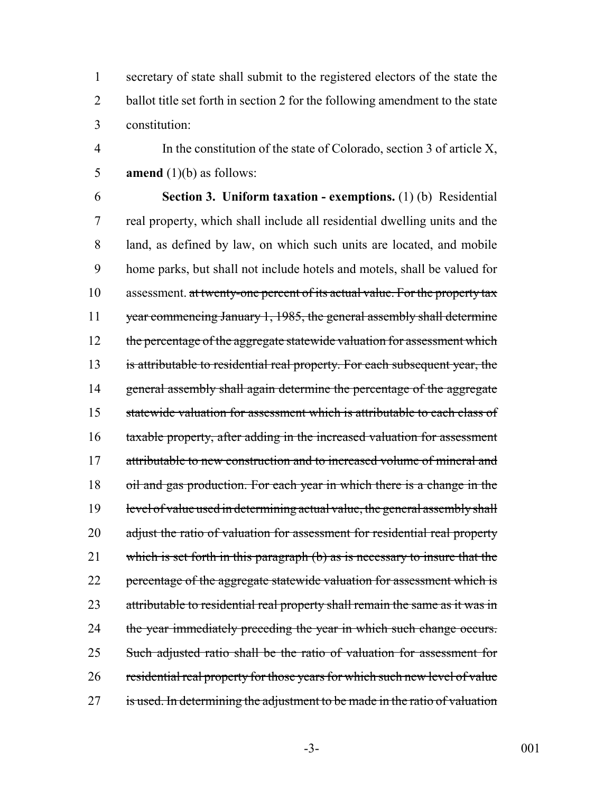1 secretary of state shall submit to the registered electors of the state the 2 ballot title set forth in section 2 for the following amendment to the state 3 constitution:

4 In the constitution of the state of Colorado, section 3 of article X, 5 **amend** (1)(b) as follows:

6 **Section 3. Uniform taxation - exemptions.** (1) (b) Residential 7 real property, which shall include all residential dwelling units and the 8 land, as defined by law, on which such units are located, and mobile 9 home parks, but shall not include hotels and motels, shall be valued for 10 assessment. at twenty-one percent of its actual value. For the property tax 11 year commencing January 1, 1985, the general assembly shall determine 12 the percentage of the aggregate statewide valuation for assessment which 13 is attributable to residential real property. For each subsequent year, the 14 general assembly shall again determine the percentage of the aggregate 15 statewide valuation for assessment which is attributable to each class of 16 taxable property, after adding in the increased valuation for assessment 17 attributable to new construction and to increased volume of mineral and 18 oil and gas production. For each year in which there is a change in the 19 level of value used in determining actual value, the general assembly shall 20 adjust the ratio of valuation for assessment for residential real property 21 which is set forth in this paragraph (b) as is necessary to insure that the 22 percentage of the aggregate statewide valuation for assessment which is 23 attributable to residential real property shall remain the same as it was in 24 the year immediately preceding the year in which such change occurs. 25 Such adjusted ratio shall be the ratio of valuation for assessment for 26 residential real property for those years for which such new level of value 27 is used. In determining the adjustment to be made in the ratio of valuation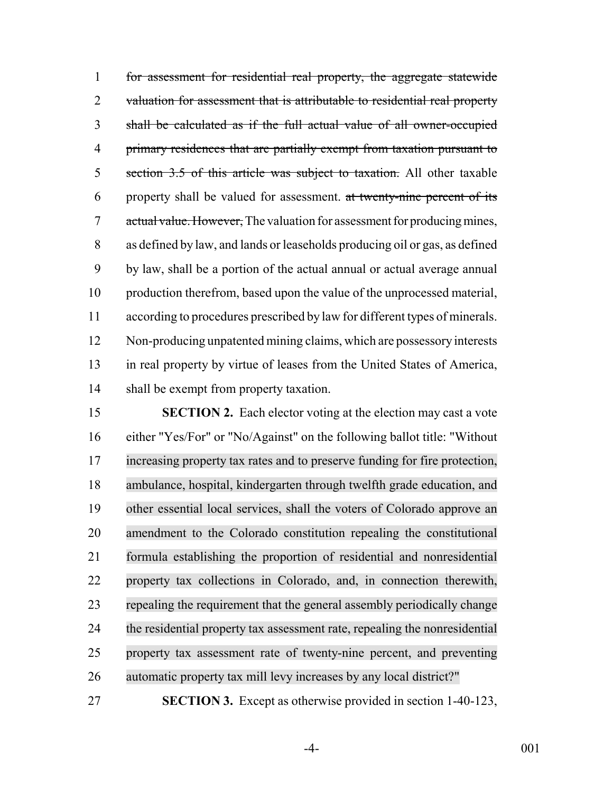for assessment for residential real property, the aggregate statewide 2 valuation for assessment that is attributable to residential real property shall be calculated as if the full actual value of all owner-occupied primary residences that are partially exempt from taxation pursuant to 5 section 3.5 of this article was subject to taxation. All other taxable property shall be valued for assessment. at twenty-nine percent of its 7 actual value. However, The valuation for assessment for producing mines, as defined by law, and lands or leaseholds producing oil or gas, as defined by law, shall be a portion of the actual annual or actual average annual production therefrom, based upon the value of the unprocessed material, according to procedures prescribed by law for different types of minerals. Non-producing unpatented mining claims, which are possessory interests in real property by virtue of leases from the United States of America, shall be exempt from property taxation.

 **SECTION 2.** Each elector voting at the election may cast a vote either "Yes/For" or "No/Against" on the following ballot title: "Without increasing property tax rates and to preserve funding for fire protection, ambulance, hospital, kindergarten through twelfth grade education, and other essential local services, shall the voters of Colorado approve an amendment to the Colorado constitution repealing the constitutional formula establishing the proportion of residential and nonresidential property tax collections in Colorado, and, in connection therewith, repealing the requirement that the general assembly periodically change the residential property tax assessment rate, repealing the nonresidential property tax assessment rate of twenty-nine percent, and preventing automatic property tax mill levy increases by any local district?"

**SECTION 3.** Except as otherwise provided in section 1-40-123,